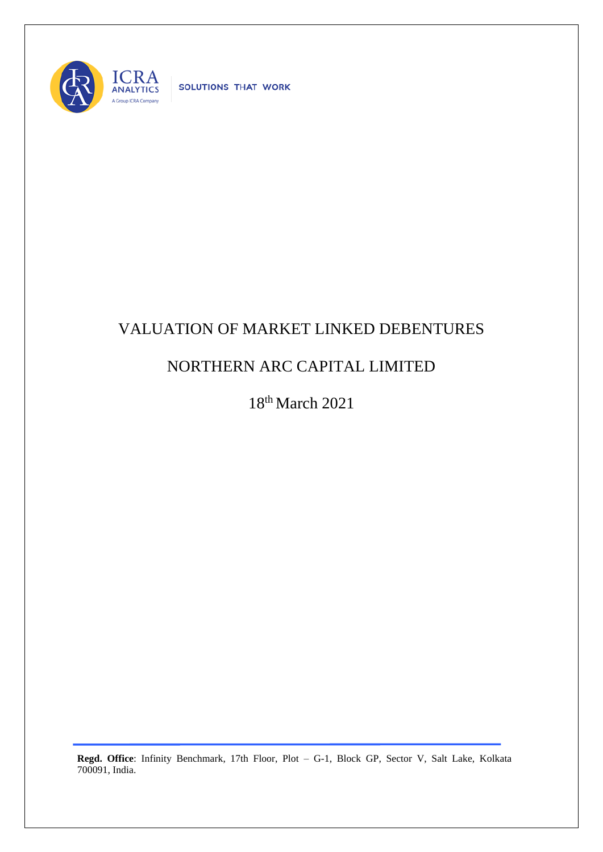

SOLUTIONS THAT WORK

## VALUATION OF MARKET LINKED DEBENTURES

## NORTHERN ARC CAPITAL LIMITED

18th March 2021

**Regd. Office**: Infinity Benchmark, 17th Floor, Plot – G-1, Block GP, Sector V, Salt Lake, Kolkata 700091, India.